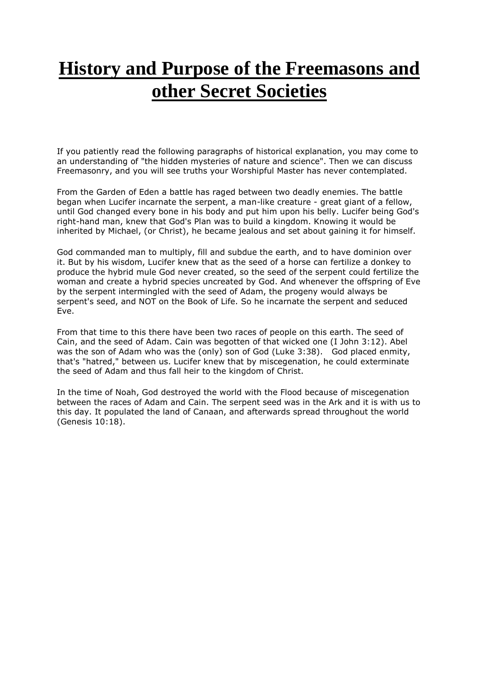## **History and Purpose of the Freemasons and other Secret Societies**

If you patiently read the following paragraphs of historical explanation, you may come to an understanding of "the hidden mysteries of nature and science". Then we can discuss Freemasonry, and you will see truths your Worshipful Master has never contemplated.

From the Garden of Eden a battle has raged between two deadly enemies. The battle began when Lucifer incarnate the serpent, a man-like creature - great giant of a fellow, until God changed every bone in his body and put him upon his belly. Lucifer being God's right-hand man, knew that God's Plan was to build a kingdom. Knowing it would be inherited by Michael, (or Christ), he became jealous and set about gaining it for himself.

God commanded man to multiply, fill and subdue the earth, and to have dominion over it. But by his wisdom, Lucifer knew that as the seed of a horse can fertilize a donkey to produce the hybrid mule God never created, so the seed of the serpent could fertilize the woman and create a hybrid species uncreated by God. And whenever the offspring of Eve by the serpent intermingled with the seed of Adam, the progeny would always be serpent's seed, and NOT on the Book of Life. So he incarnate the serpent and seduced Eve.

From that time to this there have been two races of people on this earth. The seed of Cain, and the seed of Adam. Cain was begotten of that wicked one (I John 3:12). Abel was the son of Adam who was the (only) son of God (Luke 3:38). God placed enmity, that's "hatred," between us. Lucifer knew that by miscegenation, he could exterminate the seed of Adam and thus fall heir to the kingdom of Christ.

In the time of Noah, God destroyed the world with the Flood because of miscegenation between the races of Adam and Cain. The serpent seed was in the Ark and it is with us to this day. It populated the land of Canaan, and afterwards spread throughout the world (Genesis 10:18).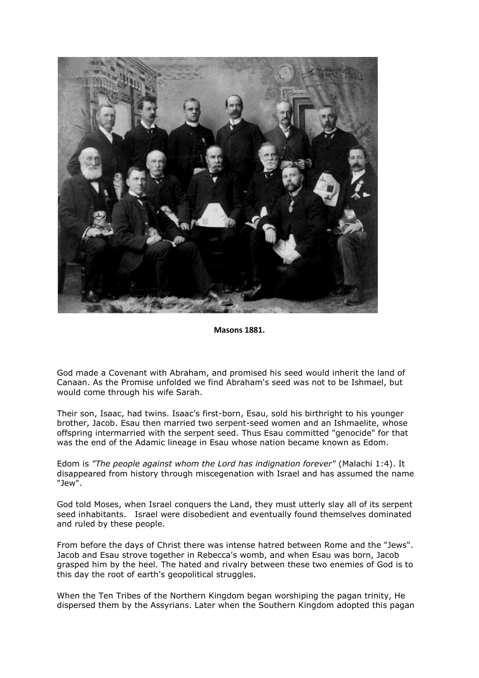

**Masons 1881.**

God made a Covenant with Abraham, and promised his seed would inherit the land of Canaan. As the Promise unfolded we find Abraham's seed was not to be Ishmael, but would come through his wife Sarah.

Their son, Isaac, had twins. Isaac's first-born, Esau, sold his birthright to his younger brother, Jacob. Esau then married two serpent-seed women and an Ishmaelite, whose offspring intermarried with the serpent seed. Thus Esau committed "genocide" for that was the end of the Adamic lineage in Esau whose nation became known as Edom.

Edom is *"The people against whom the Lord has indignation forever"* (Malachi 1:4). It disappeared from history through miscegenation with Israel and has assumed the name "Jew".

God told Moses, when Israel conquers the Land, they must utterly slay all of its serpent seed inhabitants. Israel were disobedient and eventually found themselves dominated and ruled by these people.

From before the days of Christ there was intense hatred between Rome and the "Jews". Jacob and Esau strove together in Rebecca's womb, and when Esau was born, Jacob grasped him by the heel. The hated and rivalry between these two enemies of God is to this day the root of earth's geopolitical struggles.

When the Ten Tribes of the Northern Kingdom began worshiping the pagan trinity, He dispersed them by the Assyrians. Later when the Southern Kingdom adopted this pagan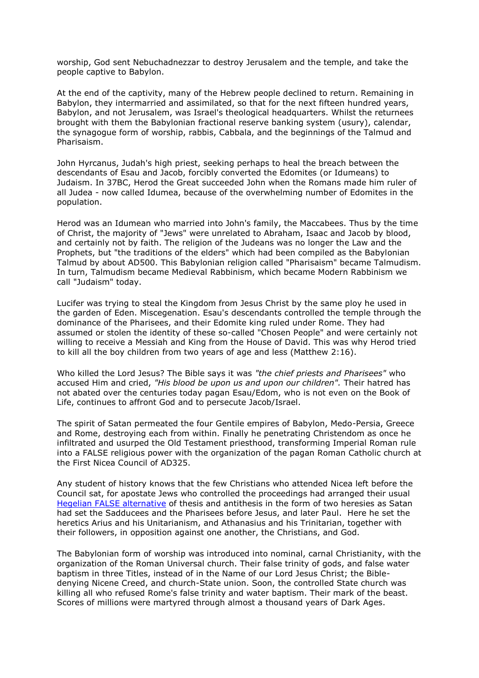worship, God sent Nebuchadnezzar to destroy Jerusalem and the temple, and take the people captive to Babylon.

At the end of the captivity, many of the Hebrew people declined to return. Remaining in Babylon, they intermarried and assimilated, so that for the next fifteen hundred years, Babylon, and not Jerusalem, was Israel's theological headquarters. Whilst the returnees brought with them the Babylonian fractional reserve banking system (usury), calendar, the synagogue form of worship, rabbis, Cabbala, and the beginnings of the Talmud and Pharisaism.

John Hyrcanus, Judah's high priest, seeking perhaps to heal the breach between the descendants of Esau and Jacob, forcibly converted the Edomites (or Idumeans) to Judaism. In 37BC, Herod the Great succeeded John when the Romans made him ruler of all Judea - now called Idumea, because of the overwhelming number of Edomites in the population.

Herod was an Idumean who married into John's family, the Maccabees. Thus by the time of Christ, the majority of "Jews" were unrelated to Abraham, Isaac and Jacob by blood, and certainly not by faith. The religion of the Judeans was no longer the Law and the Prophets, but "the traditions of the elders" which had been compiled as the Babylonian Talmud by about AD500. This Babylonian religion called "Pharisaism" became Talmudism. In turn, Talmudism became Medieval Rabbinism, which became Modern Rabbinism we call "Judaism" today.

Lucifer was trying to steal the Kingdom from Jesus Christ by the same ploy he used in the garden of Eden. Miscegenation. Esau's descendants controlled the temple through the dominance of the Pharisees, and their Edomite king ruled under Rome. They had assumed or stolen the identity of these so-called "Chosen People" and were certainly not willing to receive a Messiah and King from the House of David. This was why Herod tried to kill all the boy children from two years of age and less (Matthew 2:16).

Who killed the Lord Jesus? The Bible says it was *"the chief priests and Pharisees"* who accused Him and cried, *"His blood be upon us and upon our children".* Their hatred has not abated over the centuries today pagan Esau/Edom, who is not even on the Book of Life, continues to affront God and to persecute Jacob/Israel.

The spirit of Satan permeated the four Gentile empires of Babylon, Medo-Persia, Greece and Rome, destroying each from within. Finally he penetrating Christendom as once he infiltrated and usurped the Old Testament priesthood, transforming Imperial Roman rule into a FALSE religious power with the organization of the pagan Roman Catholic church at the First Nicea Council of AD325.

Any student of history knows that the few Christians who attended Nicea left before the Council sat, for apostate Jews who controlled the proceedings had arranged their usual [Hegelian FALSE alternative](http://www.biblebelievers.org.au/bb970219.htm) of thesis and antithesis in the form of two heresies as Satan had set the Sadducees and the Pharisees before Jesus, and later Paul. Here he set the heretics Arius and his Unitarianism, and Athanasius and his Trinitarian, together with their followers, in opposition against one another, the Christians, and God.

The Babylonian form of worship was introduced into nominal, carnal Christianity, with the organization of the Roman Universal church. Their false trinity of gods, and false water baptism in three Titles, instead of in the Name of our Lord Jesus Christ; the Bibledenying Nicene Creed, and church-State union. Soon, the controlled State church was killing all who refused Rome's false trinity and water baptism. Their mark of the beast. Scores of millions were martyred through almost a thousand years of Dark Ages.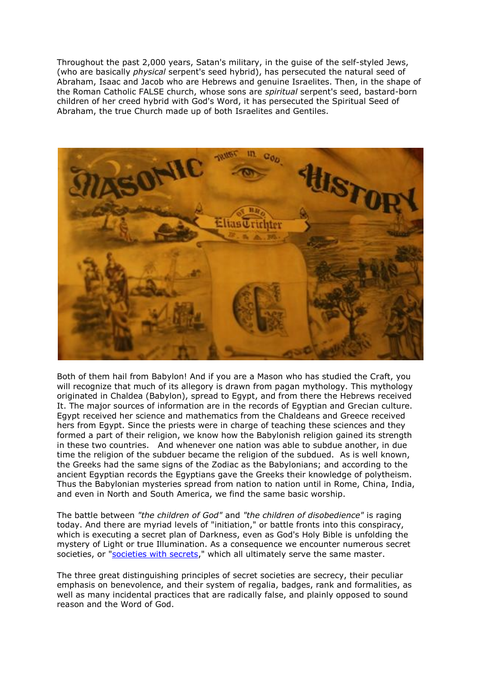Throughout the past 2,000 years, Satan's military, in the guise of the self-styled Jews, (who are basically *physical* serpent's seed hybrid), has persecuted the natural seed of Abraham, Isaac and Jacob who are Hebrews and genuine Israelites. Then, in the shape of the Roman Catholic FALSE church, whose sons are *spiritual* serpent's seed, bastard-born children of her creed hybrid with God's Word, it has persecuted the Spiritual Seed of Abraham, the true Church made up of both Israelites and Gentiles.



Both of them hail from Babylon! And if you are a Mason who has studied the Craft, you will recognize that much of its allegory is drawn from pagan mythology. This mythology originated in Chaldea (Babylon), spread to Egypt, and from there the Hebrews received It. The major sources of information are in the records of Egyptian and Grecian culture. Egypt received her science and mathematics from the Chaldeans and Greece received hers from Egypt. Since the priests were in charge of teaching these sciences and they formed a part of their religion, we know how the Babylonish religion gained its strength in these two countries. And whenever one nation was able to subdue another, in due time the religion of the subduer became the religion of the subdued. As is well known, the Greeks had the same signs of the Zodiac as the Babylonians; and according to the ancient Egyptian records the Egyptians gave the Greeks their knowledge of polytheism. Thus the Babylonian mysteries spread from nation to nation until in Rome, China, India, and even in North and South America, we find the same basic worship.

The battle between *"the children of God"* and *"the children of disobedience"* is raging today. And there are myriad levels of "initiation," or battle fronts into this conspiracy, which is executing a secret plan of Darkness, even as God's Holy Bible is unfolding the mystery of Light or true Illumination. As a consequence we encounter numerous secret societies, or ["societies with secrets,](http://www.biblebelievers.org.au/przion2.htm#MASONRY)" which all ultimately serve the same master.

The three great distinguishing principles of secret societies are secrecy, their peculiar emphasis on benevolence, and their system of regalia, badges, rank and formalities, as well as many incidental practices that are radically false, and plainly opposed to sound reason and the Word of God.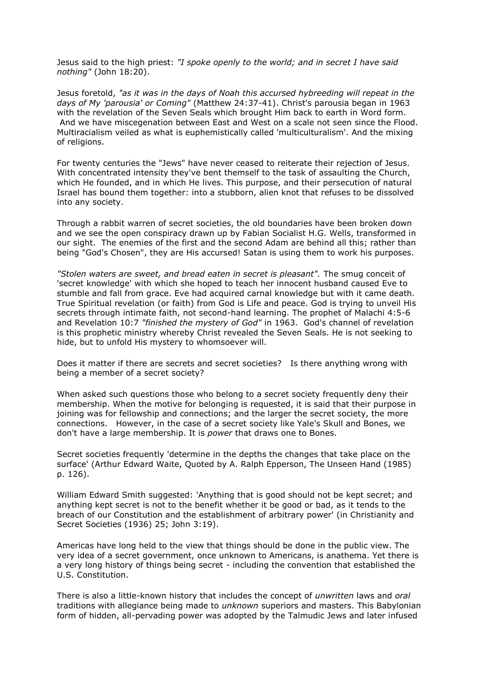Jesus said to the high priest: *"I spoke openly to the world; and in secret I have said nothing"* (John 18:20).

Jesus foretold, *"as it was in the days of Noah this accursed hybreeding will repeat in the days of My 'parousia' or Coming"* (Matthew 24:37-41). Christ's parousia began in 1963 with the revelation of the Seven Seals which brought Him back to earth in Word form. And we have miscegenation between East and West on a scale not seen since the Flood. Multiracialism veiled as what is euphemistically called 'multiculturalism'. And the mixing of religions.

For twenty centuries the "Jews" have never ceased to reiterate their rejection of Jesus. With concentrated intensity they've bent themself to the task of assaulting the Church, which He founded, and in which He lives. This purpose, and their persecution of natural Israel has bound them together: into a stubborn, alien knot that refuses to be dissolved into any society.

Through a rabbit warren of secret societies, the old boundaries have been broken down and we see the open conspiracy drawn up by Fabian Socialist H.G. Wells, transformed in our sight. The enemies of the first and the second Adam are behind all this; rather than being "God's Chosen", they are His accursed! Satan is using them to work his purposes.

*"Stolen waters are sweet, and bread eaten in secret is pleasant".* The smug conceit of 'secret knowledge' with which she hoped to teach her innocent husband caused Eve to stumble and fall from grace. Eve had acquired carnal knowledge but with it came death. True Spiritual revelation (or faith) from God is Life and peace. God is trying to unveil His secrets through intimate faith, not second-hand learning. The prophet of Malachi 4:5-6 and Revelation 10:7 *"finished the mystery of God"* in 1963. God's channel of revelation is this prophetic ministry whereby Christ revealed the Seven Seals. He is not seeking to hide, but to unfold His mystery to whomsoever will.

Does it matter if there are secrets and secret societies? Is there anything wrong with being a member of a secret society?

When asked such questions those who belong to a secret society frequently deny their membership. When the motive for belonging is requested, it is said that their purpose in joining was for fellowship and connections; and the larger the secret society, the more connections. However, in the case of a secret society like Yale's Skull and Bones, we don't have a large membership. It is *power* that draws one to Bones.

Secret societies frequently 'determine in the depths the changes that take place on the surface' (Arthur Edward Waite, Quoted by A. Ralph Epperson, The Unseen Hand (1985) p. 126).

William Edward Smith suggested: 'Anything that is good should not be kept secret; and anything kept secret is not to the benefit whether it be good or bad, as it tends to the breach of our Constitution and the establishment of arbitrary power' (in Christianity and Secret Societies (1936) 25; John 3:19).

Americas have long held to the view that things should be done in the public view. The very idea of a secret government, once unknown to Americans, is anathema. Yet there is a very long history of things being secret - including the convention that established the U.S. Constitution.

There is also a little-known history that includes the concept of *unwritten* laws and *oral*  traditions with allegiance being made to *unknown* superiors and masters. This Babylonian form of hidden, all-pervading power was adopted by the Talmudic Jews and later infused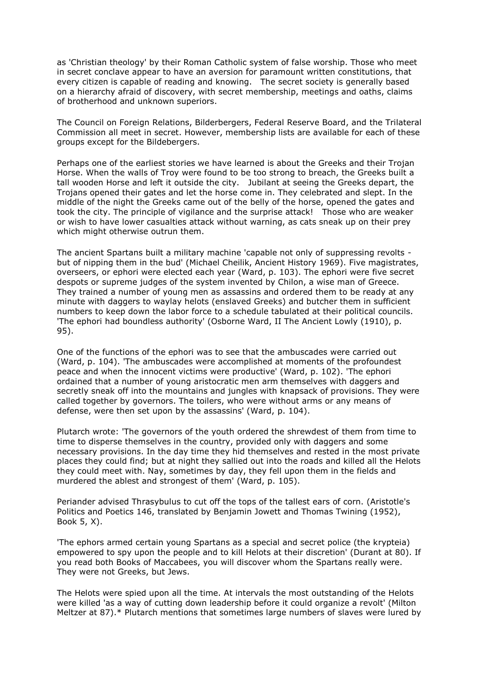as 'Christian theology' by their Roman Catholic system of false worship. Those who meet in secret conclave appear to have an aversion for paramount written constitutions, that every citizen is capable of reading and knowing. The secret society is generally based on a hierarchy afraid of discovery, with secret membership, meetings and oaths, claims of brotherhood and unknown superiors.

The Council on Foreign Relations, Bilderbergers, Federal Reserve Board, and the Trilateral Commission all meet in secret. However, membership lists are available for each of these groups except for the Bildebergers.

Perhaps one of the earliest stories we have learned is about the Greeks and their Trojan Horse. When the walls of Troy were found to be too strong to breach, the Greeks built a tall wooden Horse and left it outside the city. Jubilant at seeing the Greeks depart, the Trojans opened their gates and let the horse come in. They celebrated and slept. In the middle of the night the Greeks came out of the belly of the horse, opened the gates and took the city. The principle of vigilance and the surprise attack! Those who are weaker or wish to have lower casualties attack without warning, as cats sneak up on their prey which might otherwise outrun them.

The ancient Spartans built a military machine 'capable not only of suppressing revolts but of nipping them in the bud' (Michael Cheilik, Ancient History 1969). Five magistrates, overseers, or ephori were elected each year (Ward, p. 103). The ephori were five secret despots or supreme judges of the system invented by Chilon, a wise man of Greece. They trained a number of young men as assassins and ordered them to be ready at any minute with daggers to waylay helots (enslaved Greeks) and butcher them in sufficient numbers to keep down the labor force to a schedule tabulated at their political councils. 'The ephori had boundless authority' (Osborne Ward, II The Ancient Lowly (1910), p. 95).

One of the functions of the ephori was to see that the ambuscades were carried out (Ward, p. 104). 'The ambuscades were accomplished at moments of the profoundest peace and when the innocent victims were productive' (Ward, p. 102). 'The ephori ordained that a number of young aristocratic men arm themselves with daggers and secretly sneak off into the mountains and jungles with knapsack of provisions. They were called together by governors. The toilers, who were without arms or any means of defense, were then set upon by the assassins' (Ward, p. 104).

Plutarch wrote: 'The governors of the youth ordered the shrewdest of them from time to time to disperse themselves in the country, provided only with daggers and some necessary provisions. In the day time they hid themselves and rested in the most private places they could find; but at night they sallied out into the roads and killed all the Helots they could meet with. Nay, sometimes by day, they fell upon them in the fields and murdered the ablest and strongest of them' (Ward, p. 105).

Periander advised Thrasybulus to cut off the tops of the tallest ears of corn. (Aristotle's Politics and Poetics 146, translated by Benjamin Jowett and Thomas Twining (1952), Book 5, X).

'The ephors armed certain young Spartans as a special and secret police (the krypteia) empowered to spy upon the people and to kill Helots at their discretion' (Durant at 80). If you read both Books of Maccabees, you will discover whom the Spartans really were. They were not Greeks, but Jews.

The Helots were spied upon all the time. At intervals the most outstanding of the Helots were killed 'as a way of cutting down leadership before it could organize a revolt' (Milton Meltzer at 87).\* Plutarch mentions that sometimes large numbers of slaves were lured by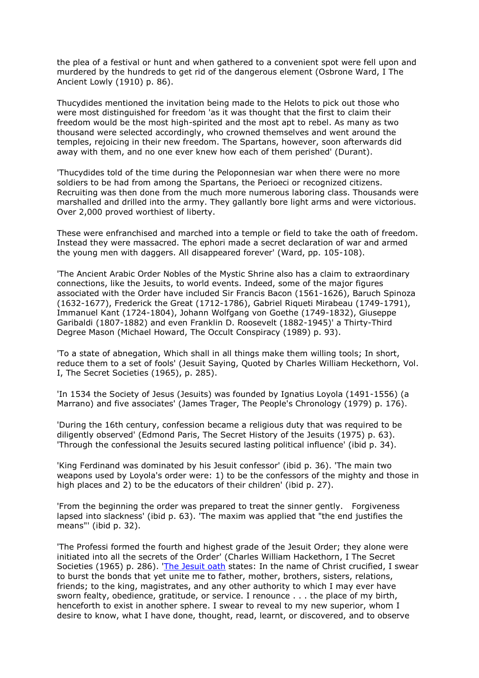the plea of a festival or hunt and when gathered to a convenient spot were fell upon and murdered by the hundreds to get rid of the dangerous element (Osbrone Ward, I The Ancient Lowly (1910) p. 86).

Thucydides mentioned the invitation being made to the Helots to pick out those who were most distinguished for freedom 'as it was thought that the first to claim their freedom would be the most high-spirited and the most apt to rebel. As many as two thousand were selected accordingly, who crowned themselves and went around the temples, rejoicing in their new freedom. The Spartans, however, soon afterwards did away with them, and no one ever knew how each of them perished' (Durant).

'Thucydides told of the time during the Peloponnesian war when there were no more soldiers to be had from among the Spartans, the Perioeci or recognized citizens. Recruiting was then done from the much more numerous laboring class. Thousands were marshalled and drilled into the army. They gallantly bore light arms and were victorious. Over 2,000 proved worthiest of liberty.

These were enfranchised and marched into a temple or field to take the oath of freedom. Instead they were massacred. The ephori made a secret declaration of war and armed the young men with daggers. All disappeared forever' (Ward, pp. 105-108).

'The Ancient Arabic Order Nobles of the Mystic Shrine also has a claim to extraordinary connections, like the Jesuits, to world events. Indeed, some of the major figures associated with the Order have included Sir Francis Bacon (1561-1626), Baruch Spinoza (1632-1677), Frederick the Great (1712-1786), Gabriel Riqueti Mirabeau (1749-1791), Immanuel Kant (1724-1804), Johann Wolfgang von Goethe (1749-1832), Giuseppe Garibaldi (1807-1882) and even Franklin D. Roosevelt (1882-1945)' a Thirty-Third Degree Mason (Michael Howard, The Occult Conspiracy (1989) p. 93).

'To a state of abnegation, Which shall in all things make them willing tools; In short, reduce them to a set of fools' (Jesuit Saying, Quoted by Charles William Heckethorn, Vol. I, The Secret Societies (1965), p. 285).

'In 1534 the Society of Jesus (Jesuits) was founded by Ignatius Loyola (1491-1556) (a Marrano) and five associates' (James Trager, The People's Chronology (1979) p. 176).

'During the 16th century, confession became a religious duty that was required to be diligently observed' (Edmond Paris, The Secret History of the Jesuits (1975) p. 63). 'Through the confessional the Jesuits secured lasting political influence' (ibid p. 34).

'King Ferdinand was dominated by his Jesuit confessor' (ibid p. 36). 'The main two weapons used by Loyola's order were: 1) to be the confessors of the mighty and those in high places and 2) to be the educators of their children' (ibid p. 27).

'From the beginning the order was prepared to treat the sinner gently. Forgiveness lapsed into slackness' (ibid p. 63). 'The maxim was applied that "the end justifies the means"' (ibid p. 32).

'The Professi formed the fourth and highest grade of the Jesuit Order; they alone were initiated into all the secrets of the Order' (Charles William Hackethorn, I The Secret Societies (1965) p. 286). ['The Jesuit oath](http://www.biblebelievers.org.au/jesuits.htm) states: In the name of Christ crucified, I swear to burst the bonds that yet unite me to father, mother, brothers, sisters, relations, friends; to the king, magistrates, and any other authority to which I may ever have sworn fealty, obedience, gratitude, or service. I renounce . . . the place of my birth, henceforth to exist in another sphere. I swear to reveal to my new superior, whom I desire to know, what I have done, thought, read, learnt, or discovered, and to observe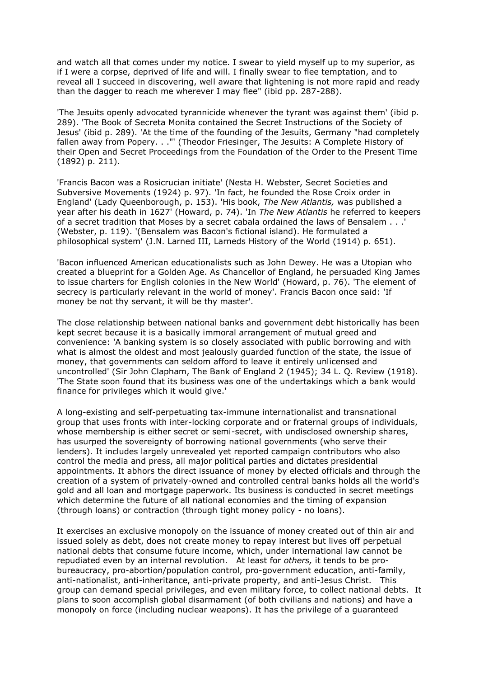and watch all that comes under my notice. I swear to yield myself up to my superior, as if I were a corpse, deprived of life and will. I finally swear to flee temptation, and to reveal all I succeed in discovering, well aware that lightening is not more rapid and ready than the dagger to reach me wherever I may flee" (ibid pp. 287-288).

'The Jesuits openly advocated tyrannicide whenever the tyrant was against them' (ibid p. 289). 'The Book of Secreta Monita contained the Secret Instructions of the Society of Jesus' (ibid p. 289). 'At the time of the founding of the Jesuits, Germany "had completely fallen away from Popery. . ."' (Theodor Friesinger, The Jesuits: A Complete History of their Open and Secret Proceedings from the Foundation of the Order to the Present Time (1892) p. 211).

'Francis Bacon was a Rosicrucian initiate' (Nesta H. Webster, Secret Societies and Subversive Movements (1924) p. 97). 'In fact, he founded the Rose Croix order in England' (Lady Queenborough, p. 153). 'His book, *The New Atlantis,* was published a year after his death in 1627' (Howard, p. 74). 'In *The New Atlantis* he referred to keepers of a secret tradition that Moses by a secret cabala ordained the laws of Bensalem . . .' (Webster, p. 119). '(Bensalem was Bacon's fictional island). He formulated a philosophical system' (J.N. Larned III, Larneds History of the World (1914) p. 651).

'Bacon influenced American educationalists such as John Dewey. He was a Utopian who created a blueprint for a Golden Age. As Chancellor of England, he persuaded King James to issue charters for English colonies in the New World' (Howard, p. 76). 'The element of secrecy is particularly relevant in the world of money'. Francis Bacon once said: 'If money be not thy servant, it will be thy master'.

The close relationship between national banks and government debt historically has been kept secret because it is a basically immoral arrangement of mutual greed and convenience: 'A banking system is so closely associated with public borrowing and with what is almost the oldest and most jealously guarded function of the state, the issue of money, that governments can seldom afford to leave it entirely unlicensed and uncontrolled' (Sir John Clapham, The Bank of England 2 (1945); 34 L. Q. Review (1918). 'The State soon found that its business was one of the undertakings which a bank would finance for privileges which it would give.'

A long-existing and self-perpetuating tax-immune internationalist and transnational group that uses fronts with inter-locking corporate and or fraternal groups of individuals, whose membership is either secret or semi-secret, with undisclosed ownership shares, has usurped the sovereignty of borrowing national governments (who serve their lenders). It includes largely unrevealed yet reported campaign contributors who also control the media and press, all major political parties and dictates presidential appointments. It abhors the direct issuance of money by elected officials and through the creation of a system of privately-owned and controlled central banks holds all the world's gold and all loan and mortgage paperwork. Its business is conducted in secret meetings which determine the future of all national economies and the timing of expansion (through loans) or contraction (through tight money policy - no loans).

It exercises an exclusive monopoly on the issuance of money created out of thin air and issued solely as debt, does not create money to repay interest but lives off perpetual national debts that consume future income, which, under international law cannot be repudiated even by an internal revolution. At least for *others,* it tends to be probureaucracy, pro-abortion/population control, pro-government education, anti-family, anti-nationalist, anti-inheritance, anti-private property, and anti-Jesus Christ. This group can demand special privileges, and even military force, to collect national debts. It plans to soon accomplish global disarmament (of both civilians and nations) and have a monopoly on force (including nuclear weapons). It has the privilege of a guaranteed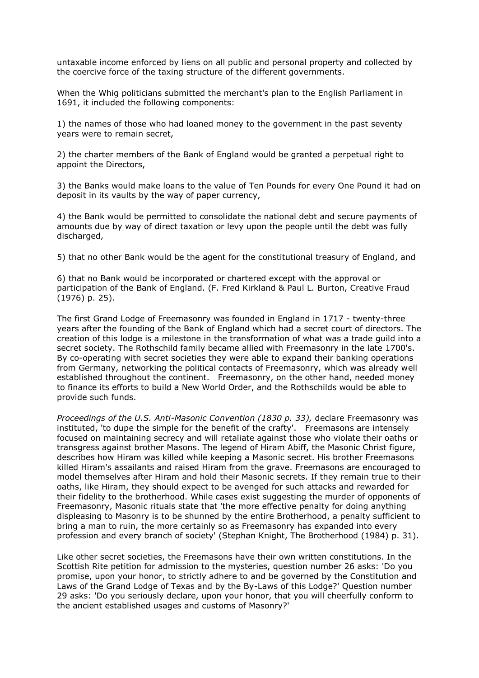untaxable income enforced by liens on all public and personal property and collected by the coercive force of the taxing structure of the different governments.

When the Whig politicians submitted the merchant's plan to the English Parliament in 1691, it included the following components:

1) the names of those who had loaned money to the government in the past seventy years were to remain secret,

2) the charter members of the Bank of England would be granted a perpetual right to appoint the Directors,

3) the Banks would make loans to the value of Ten Pounds for every One Pound it had on deposit in its vaults by the way of paper currency,

4) the Bank would be permitted to consolidate the national debt and secure payments of amounts due by way of direct taxation or levy upon the people until the debt was fully discharged,

5) that no other Bank would be the agent for the constitutional treasury of England, and

6) that no Bank would be incorporated or chartered except with the approval or participation of the Bank of England. (F. Fred Kirkland & Paul L. Burton, Creative Fraud (1976) p. 25).

The first Grand Lodge of Freemasonry was founded in England in 1717 - twenty-three years after the founding of the Bank of England which had a secret court of directors. The creation of this lodge is a milestone in the transformation of what was a trade guild into a secret society. The Rothschild family became allied with Freemasonry in the late 1700's. By co-operating with secret societies they were able to expand their banking operations from Germany, networking the political contacts of Freemasonry, which was already well established throughout the continent. Freemasonry, on the other hand, needed money to finance its efforts to build a New World Order, and the Rothschilds would be able to provide such funds.

*Proceedings of the U.S. Anti-Masonic Convention (1830 p. 33),* declare Freemasonry was instituted, 'to dupe the simple for the benefit of the crafty'. Freemasons are intensely focused on maintaining secrecy and will retaliate against those who violate their oaths or transgress against brother Masons. The legend of Hiram Abiff, the Masonic Christ figure, describes how Hiram was killed while keeping a Masonic secret. His brother Freemasons killed Hiram's assailants and raised Hiram from the grave. Freemasons are encouraged to model themselves after Hiram and hold their Masonic secrets. If they remain true to their oaths, like Hiram, they should expect to be avenged for such attacks and rewarded for their fidelity to the brotherhood. While cases exist suggesting the murder of opponents of Freemasonry, Masonic rituals state that 'the more effective penalty for doing anything displeasing to Masonry is to be shunned by the entire Brotherhood, a penalty sufficient to bring a man to ruin, the more certainly so as Freemasonry has expanded into every profession and every branch of society' (Stephan Knight, The Brotherhood (1984) p. 31).

Like other secret societies, the Freemasons have their own written constitutions. In the Scottish Rite petition for admission to the mysteries, question number 26 asks: 'Do you promise, upon your honor, to strictly adhere to and be governed by the Constitution and Laws of the Grand Lodge of Texas and by the By-Laws of this Lodge?' Question number 29 asks: 'Do you seriously declare, upon your honor, that you will cheerfully conform to the ancient established usages and customs of Masonry?'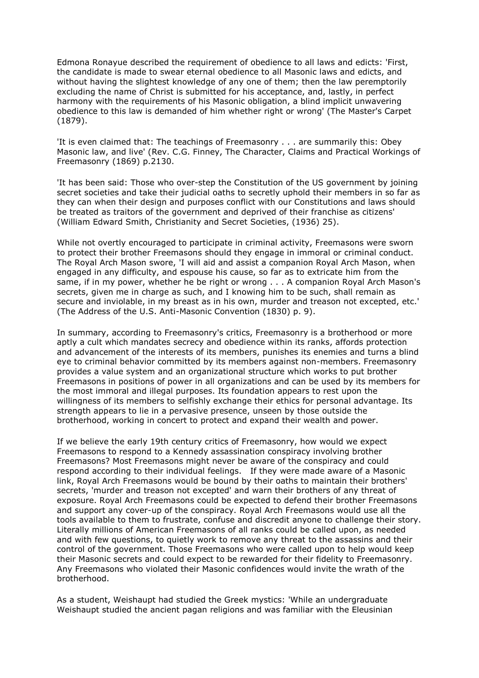Edmona Ronayue described the requirement of obedience to all laws and edicts: 'First, the candidate is made to swear eternal obedience to all Masonic laws and edicts, and without having the slightest knowledge of any one of them; then the law peremptorily excluding the name of Christ is submitted for his acceptance, and, lastly, in perfect harmony with the requirements of his Masonic obligation, a blind implicit unwavering obedience to this law is demanded of him whether right or wrong' (The Master's Carpet (1879).

'It is even claimed that: The teachings of Freemasonry . . . are summarily this: Obey Masonic law, and live' (Rev. C.G. Finney, The Character, Claims and Practical Workings of Freemasonry (1869) p.2130.

'It has been said: Those who over-step the Constitution of the US government by joining secret societies and take their judicial oaths to secretly uphold their members in so far as they can when their design and purposes conflict with our Constitutions and laws should be treated as traitors of the government and deprived of their franchise as citizens' (William Edward Smith, Christianity and Secret Societies, (1936) 25).

While not overtly encouraged to participate in criminal activity, Freemasons were sworn to protect their brother Freemasons should they engage in immoral or criminal conduct. The Royal Arch Mason swore, 'I will aid and assist a companion Royal Arch Mason, when engaged in any difficulty, and espouse his cause, so far as to extricate him from the same, if in my power, whether he be right or wrong . . . A companion Royal Arch Mason's secrets, given me in charge as such, and I knowing him to be such, shall remain as secure and inviolable, in my breast as in his own, murder and treason not excepted, etc.' (The Address of the U.S. Anti-Masonic Convention (1830) p. 9).

In summary, according to Freemasonry's critics, Freemasonry is a brotherhood or more aptly a cult which mandates secrecy and obedience within its ranks, affords protection and advancement of the interests of its members, punishes its enemies and turns a blind eye to criminal behavior committed by its members against non-members. Freemasonry provides a value system and an organizational structure which works to put brother Freemasons in positions of power in all organizations and can be used by its members for the most immoral and illegal purposes. Its foundation appears to rest upon the willingness of its members to selfishly exchange their ethics for personal advantage. Its strength appears to lie in a pervasive presence, unseen by those outside the brotherhood, working in concert to protect and expand their wealth and power.

If we believe the early 19th century critics of Freemasonry, how would we expect Freemasons to respond to a Kennedy assassination conspiracy involving brother Freemasons? Most Freemasons might never be aware of the conspiracy and could respond according to their individual feelings. If they were made aware of a Masonic link, Royal Arch Freemasons would be bound by their oaths to maintain their brothers' secrets, 'murder and treason not excepted' and warn their brothers of any threat of exposure. Royal Arch Freemasons could be expected to defend their brother Freemasons and support any cover-up of the conspiracy. Royal Arch Freemasons would use all the tools available to them to frustrate, confuse and discredit anyone to challenge their story. Literally millions of American Freemasons of all ranks could be called upon, as needed and with few questions, to quietly work to remove any threat to the assassins and their control of the government. Those Freemasons who were called upon to help would keep their Masonic secrets and could expect to be rewarded for their fidelity to Freemasonry. Any Freemasons who violated their Masonic confidences would invite the wrath of the brotherhood.

As a student, Weishaupt had studied the Greek mystics: 'While an undergraduate Weishaupt studied the ancient pagan religions and was familiar with the Eleusinian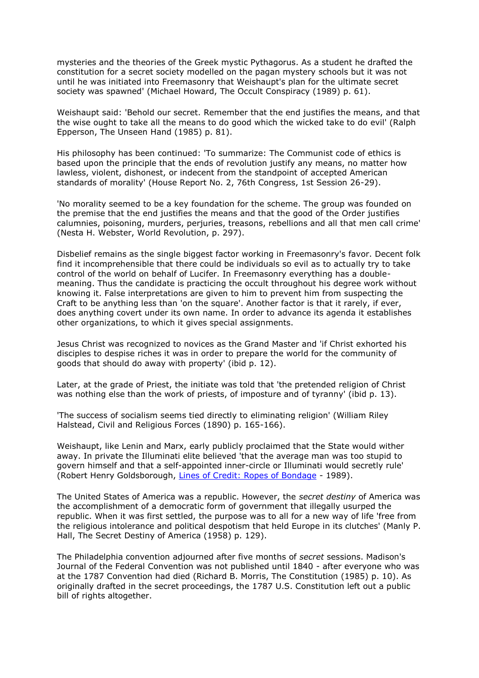mysteries and the theories of the Greek mystic Pythagorus. As a student he drafted the constitution for a secret society modelled on the pagan mystery schools but it was not until he was initiated into Freemasonry that Weishaupt's plan for the ultimate secret society was spawned' (Michael Howard, The Occult Conspiracy (1989) p. 61).

Weishaupt said: 'Behold our secret. Remember that the end justifies the means, and that the wise ought to take all the means to do good which the wicked take to do evil' (Ralph Epperson, The Unseen Hand (1985) p. 81).

His philosophy has been continued: 'To summarize: The Communist code of ethics is based upon the principle that the ends of revolution justify any means, no matter how lawless, violent, dishonest, or indecent from the standpoint of accepted American standards of morality' (House Report No. 2, 76th Congress, 1st Session 26-29).

'No morality seemed to be a key foundation for the scheme. The group was founded on the premise that the end justifies the means and that the good of the Order justifies calumnies, poisoning, murders, perjuries, treasons, rebellions and all that men call crime' (Nesta H. Webster, World Revolution, p. 297).

Disbelief remains as the single biggest factor working in Freemasonry's favor. Decent folk find it incomprehensible that there could be individuals so evil as to actually try to take control of the world on behalf of Lucifer. In Freemasonry everything has a doublemeaning. Thus the candidate is practicing the occult throughout his degree work without knowing it. False interpretations are given to him to prevent him from suspecting the Craft to be anything less than 'on the square'. Another factor is that it rarely, if ever, does anything covert under its own name. In order to advance its agenda it establishes other organizations, to which it gives special assignments.

Jesus Christ was recognized to novices as the Grand Master and 'if Christ exhorted his disciples to despise riches it was in order to prepare the world for the community of goods that should do away with property' (ibid p. 12).

Later, at the grade of Priest, the initiate was told that 'the pretended religion of Christ was nothing else than the work of priests, of imposture and of tyranny' (ibid p. 13).

'The success of socialism seems tied directly to eliminating religion' (William Riley Halstead, Civil and Religious Forces (1890) p. 165-166).

Weishaupt, like Lenin and Marx, early publicly proclaimed that the State would wither away. In private the Illuminati elite believed 'that the average man was too stupid to govern himself and that a self-appointed inner-circle or Illuminati would secretly rule' (Robert Henry Goldsborough, [Lines of Credit: Ropes of Bondage](http://www.biblebelievers.org.au/lines.htm#COMMUNISM:%20%20%20%20%20%20%20%20AN%20ANTI-CHRISTIAN%20CONSPIRACY) - 1989).

The United States of America was a republic. However, the *secret destiny* of America was the accomplishment of a democratic form of government that illegally usurped the republic. When it was first settled, the purpose was to all for a new way of life 'free from the religious intolerance and political despotism that held Europe in its clutches' (Manly P. Hall, The Secret Destiny of America (1958) p. 129).

The Philadelphia convention adjourned after five months of *secret* sessions. Madison's Journal of the Federal Convention was not published until 1840 - after everyone who was at the 1787 Convention had died (Richard B. Morris, The Constitution (1985) p. 10). As originally drafted in the secret proceedings, the 1787 U.S. Constitution left out a public bill of rights altogether.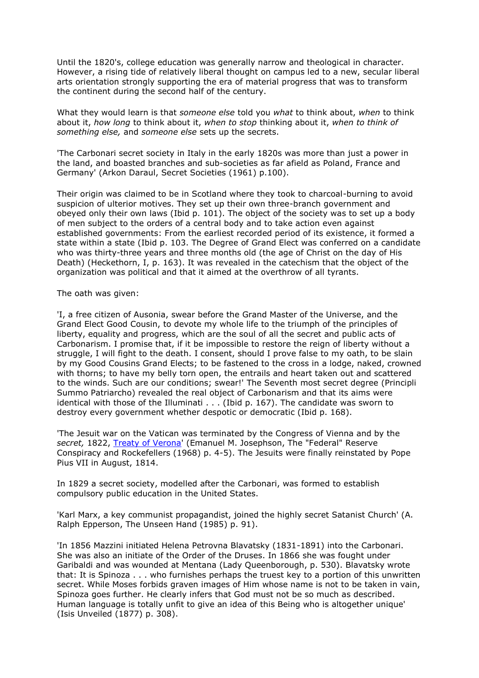Until the 1820's, college education was generally narrow and theological in character. However, a rising tide of relatively liberal thought on campus led to a new, secular liberal arts orientation strongly supporting the era of material progress that was to transform the continent during the second half of the century.

What they would learn is that *someone else* told you *what* to think about, *when* to think about it, *how long* to think about it, *when to stop* thinking about it, *when to think of something else,* and *someone else* sets up the secrets.

'The Carbonari secret society in Italy in the early 1820s was more than just a power in the land, and boasted branches and sub-societies as far afield as Poland, France and Germany' (Arkon Daraul, Secret Societies (1961) p.100).

Their origin was claimed to be in Scotland where they took to charcoal-burning to avoid suspicion of ulterior motives. They set up their own three-branch government and obeyed only their own laws (Ibid p. 101). The object of the society was to set up a body of men subject to the orders of a central body and to take action even against established governments: From the earliest recorded period of its existence, it formed a state within a state (Ibid p. 103. The Degree of Grand Elect was conferred on a candidate who was thirty-three years and three months old (the age of Christ on the day of His Death) (Heckethorn, I, p. 163). It was revealed in the catechism that the object of the organization was political and that it aimed at the overthrow of all tyrants.

The oath was given:

'I, a free citizen of Ausonia, swear before the Grand Master of the Universe, and the Grand Elect Good Cousin, to devote my whole life to the triumph of the principles of liberty, equality and progress, which are the soul of all the secret and public acts of Carbonarism. I promise that, if it be impossible to restore the reign of liberty without a struggle, I will fight to the death. I consent, should I prove false to my oath, to be slain by my Good Cousins Grand Elects; to be fastened to the cross in a lodge, naked, crowned with thorns; to have my belly torn open, the entrails and heart taken out and scattered to the winds. Such are our conditions; swear!' The Seventh most secret degree (Principli Summo Patriarcho) revealed the real object of Carbonarism and that its aims were identical with those of the Illuminati . . . (Ibid p. 167). The candidate was sworn to destroy every government whether despotic or democratic (Ibid p. 168).

'The Jesuit war on the Vatican was terminated by the Congress of Vienna and by the *secret,* 1822, [Treaty of Verona'](http://www.biblebelievers.org.au/verona.htm) (Emanuel M. Josephson, The "Federal" Reserve Conspiracy and Rockefellers (1968) p. 4-5). The Jesuits were finally reinstated by Pope Pius VII in August, 1814.

In 1829 a secret society, modelled after the Carbonari, was formed to establish compulsory public education in the United States.

'Karl Marx, a key communist propagandist, joined the highly secret Satanist Church' (A. Ralph Epperson, The Unseen Hand (1985) p. 91).

'In 1856 Mazzini initiated Helena Petrovna Blavatsky (1831-1891) into the Carbonari. She was also an initiate of the Order of the Druses. In 1866 she was fought under Garibaldi and was wounded at Mentana (Lady Queenborough, p. 530). Blavatsky wrote that: It is Spinoza . . . who furnishes perhaps the truest key to a portion of this unwritten secret. While Moses forbids graven images of Him whose name is not to be taken in vain, Spinoza goes further. He clearly infers that God must not be so much as described. Human language is totally unfit to give an idea of this Being who is altogether unique' (Isis Unveiled (1877) p. 308).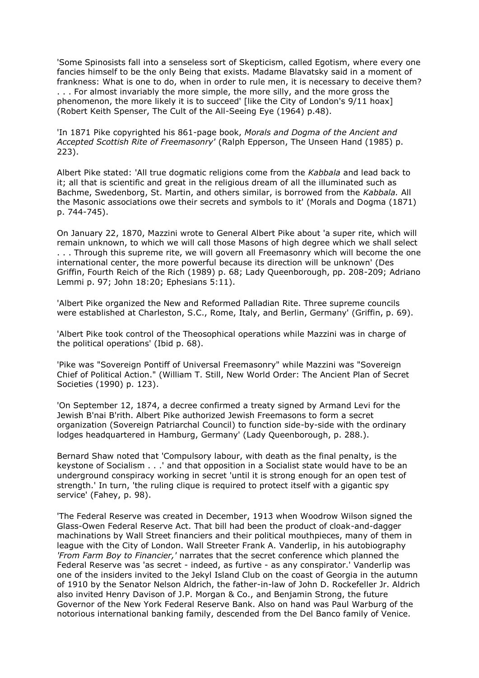'Some Spinosists fall into a senseless sort of Skepticism, called Egotism, where every one fancies himself to be the only Being that exists. Madame Blavatsky said in a moment of frankness: What is one to do, when in order to rule men, it is necessary to deceive them? . . . For almost invariably the more simple, the more silly, and the more gross the phenomenon, the more likely it is to succeed' [like the City of London's 9/11 hoax] (Robert Keith Spenser, The Cult of the All-Seeing Eye (1964) p.48).

'In 1871 Pike copyrighted his 861-page book, *Morals and Dogma of the Ancient and Accepted Scottish Rite of Freemasonry'* (Ralph Epperson, The Unseen Hand (1985) p. 223).

Albert Pike stated: 'All true dogmatic religions come from the *Kabbala* and lead back to it; all that is scientific and great in the religious dream of all the illuminated such as Bachme, Swedenborg, St. Martin, and others similar, is borrowed from the *Kabbala.* All the Masonic associations owe their secrets and symbols to it' (Morals and Dogma (1871) p. 744-745).

On January 22, 1870, Mazzini wrote to General Albert Pike about 'a super rite, which will remain unknown, to which we will call those Masons of high degree which we shall select . . . Through this supreme rite, we will govern all Freemasonry which will become the one international center, the more powerful because its direction will be unknown' (Des Griffin, Fourth Reich of the Rich (1989) p. 68; Lady Queenborough, pp. 208-209; Adriano Lemmi p. 97; John 18:20; Ephesians 5:11).

'Albert Pike organized the New and Reformed Palladian Rite. Three supreme councils were established at Charleston, S.C., Rome, Italy, and Berlin, Germany' (Griffin, p. 69).

'Albert Pike took control of the Theosophical operations while Mazzini was in charge of the political operations' (Ibid p. 68).

'Pike was "Sovereign Pontiff of Universal Freemasonry" while Mazzini was "Sovereign Chief of Political Action." (William T. Still, New World Order: The Ancient Plan of Secret Societies (1990) p. 123).

'On September 12, 1874, a decree confirmed a treaty signed by Armand Levi for the Jewish B'nai B'rith. Albert Pike authorized Jewish Freemasons to form a secret organization (Sovereign Patriarchal Council) to function side-by-side with the ordinary lodges headquartered in Hamburg, Germany' (Lady Queenborough, p. 288.).

Bernard Shaw noted that 'Compulsory labour, with death as the final penalty, is the keystone of Socialism . . .' and that opposition in a Socialist state would have to be an underground conspiracy working in secret 'until it is strong enough for an open test of strength.' In turn, 'the ruling clique is required to protect itself with a gigantic spy service' (Fahey, p. 98).

'The Federal Reserve was created in December, 1913 when Woodrow Wilson signed the Glass-Owen Federal Reserve Act. That bill had been the product of cloak-and-dagger machinations by Wall Street financiers and their political mouthpieces, many of them in league with the City of London. Wall Streeter Frank A. Vanderlip, in his autobiography *'From Farm Boy to Financier,'* narrates that the secret conference which planned the Federal Reserve was 'as secret - indeed, as furtive - as any conspirator.' Vanderlip was one of the insiders invited to the Jekyl Island Club on the coast of Georgia in the autumn of 1910 by the Senator Nelson Aldrich, the father-in-law of John D. Rockefeller Jr. Aldrich also invited Henry Davison of J.P. Morgan & Co., and Benjamin Strong, the future Governor of the New York Federal Reserve Bank. Also on hand was Paul Warburg of the notorious international banking family, descended from the Del Banco family of Venice.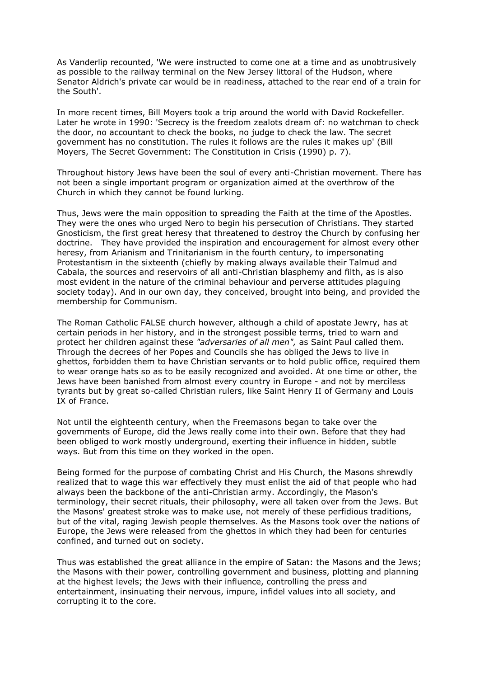As Vanderlip recounted, 'We were instructed to come one at a time and as unobtrusively as possible to the railway terminal on the New Jersey littoral of the Hudson, where Senator Aldrich's private car would be in readiness, attached to the rear end of a train for the South'.

In more recent times, Bill Moyers took a trip around the world with David Rockefeller. Later he wrote in 1990: 'Secrecy is the freedom zealots dream of: no watchman to check the door, no accountant to check the books, no judge to check the law. The secret government has no constitution. The rules it follows are the rules it makes up' (Bill Moyers, The Secret Government: The Constitution in Crisis (1990) p. 7).

Throughout history Jews have been the soul of every anti-Christian movement. There has not been a single important program or organization aimed at the overthrow of the Church in which they cannot be found lurking.

Thus, Jews were the main opposition to spreading the Faith at the time of the Apostles. They were the ones who urged Nero to begin his persecution of Christians. They started Gnosticism, the first great heresy that threatened to destroy the Church by confusing her doctrine. They have provided the inspiration and encouragement for almost every other heresy, from Arianism and Trinitarianism in the fourth century, to impersonating Protestantism in the sixteenth (chiefly by making always available their Talmud and Cabala, the sources and reservoirs of all anti-Christian blasphemy and filth, as is also most evident in the nature of the criminal behaviour and perverse attitudes plaguing society today). And in our own day, they conceived, brought into being, and provided the membership for Communism.

The Roman Catholic FALSE church however, although a child of apostate Jewry, has at certain periods in her history, and in the strongest possible terms, tried to warn and protect her children against these *"adversaries of all men",* as Saint Paul called them. Through the decrees of her Popes and Councils she has obliged the Jews to live in ghettos, forbidden them to have Christian servants or to hold public office, required them to wear orange hats so as to be easily recognized and avoided. At one time or other, the Jews have been banished from almost every country in Europe - and not by merciless tyrants but by great so-called Christian rulers, like Saint Henry II of Germany and Louis IX of France.

Not until the eighteenth century, when the Freemasons began to take over the governments of Europe, did the Jews really come into their own. Before that they had been obliged to work mostly underground, exerting their influence in hidden, subtle ways. But from this time on they worked in the open.

Being formed for the purpose of combating Christ and His Church, the Masons shrewdly realized that to wage this war effectively they must enlist the aid of that people who had always been the backbone of the anti-Christian army. Accordingly, the Mason's terminology, their secret rituals, their philosophy, were all taken over from the Jews. But the Masons' greatest stroke was to make use, not merely of these perfidious traditions, but of the vital, raging Jewish people themselves. As the Masons took over the nations of Europe, the Jews were released from the ghettos in which they had been for centuries confined, and turned out on society.

Thus was established the great alliance in the empire of Satan: the Masons and the Jews; the Masons with their power, controlling government and business, plotting and planning at the highest levels; the Jews with their influence, controlling the press and entertainment, insinuating their nervous, impure, infidel values into all society, and corrupting it to the core.